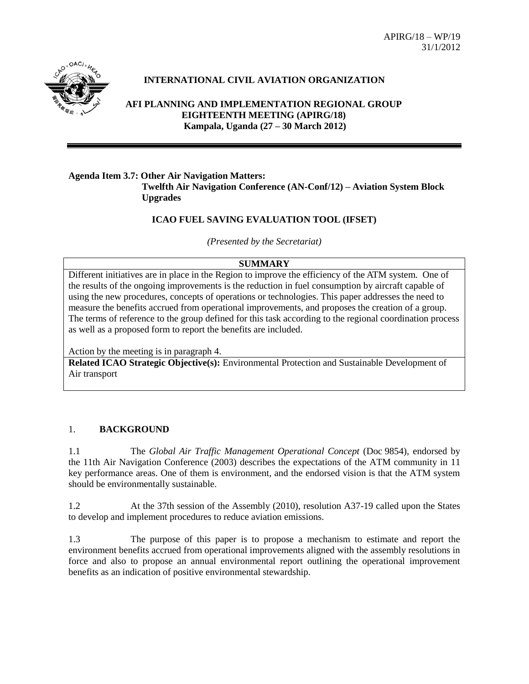APIRG/18 – WP/19 31/1/2012



## **INTERNATIONAL CIVIL AVIATION ORGANIZATION**

**AFI PLANNING AND IMPLEMENTATION REGIONAL GROUP EIGHTEENTH MEETING (APIRG/18) Kampala, Uganda (27 – 30 March 2012)**

## **Agenda Item 3.7: Other Air Navigation Matters: Twelfth Air Navigation Conference (AN-Conf/12) – Aviation System Block Upgrades**

#### **ICAO FUEL SAVING EVALUATION TOOL (IFSET)**

*(Presented by the Secretariat)*

#### **SUMMARY**

Different initiatives are in place in the Region to improve the efficiency of the ATM system. One of the results of the ongoing improvements is the reduction in fuel consumption by aircraft capable of using the new procedures, concepts of operations or technologies. This paper addresses the need to measure the benefits accrued from operational improvements, and proposes the creation of a group. The terms of reference to the group defined for this task according to the regional coordination process as well as a proposed form to report the benefits are included.

Action by the meeting is in paragraph 4.

**Related ICAO Strategic Objective(s):** Environmental Protection and Sustainable Development of Air transport

## 1. **BACKGROUND**

1.1 The *Global Air Traffic Management Operational Concept* (Doc 9854), endorsed by the 11th Air Navigation Conference (2003) describes the expectations of the ATM community in 11 key performance areas. One of them is environment, and the endorsed vision is that the ATM system should be environmentally sustainable.

1.2 At the 37th session of the Assembly (2010), resolution A37-19 called upon the States to develop and implement procedures to reduce aviation emissions.

1.3 The purpose of this paper is to propose a mechanism to estimate and report the environment benefits accrued from operational improvements aligned with the assembly resolutions in force and also to propose an annual environmental report outlining the operational improvement benefits as an indication of positive environmental stewardship.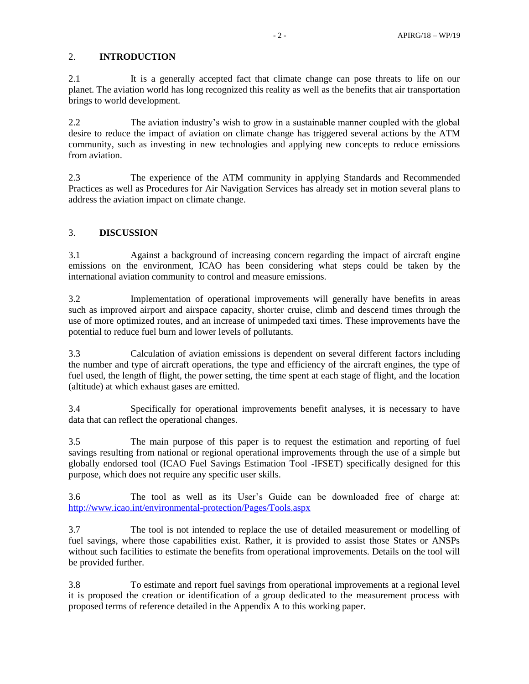## 2. **INTRODUCTION**

2.1 It is a generally accepted fact that climate change can pose threats to life on our planet. The aviation world has long recognized this reality as well as the benefits that air transportation brings to world development.

2.2 The aviation industry's wish to grow in a sustainable manner coupled with the global desire to reduce the impact of aviation on climate change has triggered several actions by the ATM community, such as investing in new technologies and applying new concepts to reduce emissions from aviation.

2.3 The experience of the ATM community in applying Standards and Recommended Practices as well as Procedures for Air Navigation Services has already set in motion several plans to address the aviation impact on climate change.

## 3. **DISCUSSION**

3.1 Against a background of increasing concern regarding the impact of aircraft engine emissions on the environment, ICAO has been considering what steps could be taken by the international aviation community to control and measure emissions.

3.2 Implementation of operational improvements will generally have benefits in areas such as improved airport and airspace capacity, shorter cruise, climb and descend times through the use of more optimized routes, and an increase of unimpeded taxi times. These improvements have the potential to reduce fuel burn and lower levels of pollutants.

3.3 Calculation of aviation emissions is dependent on several different factors including the number and type of aircraft operations, the type and efficiency of the aircraft engines, the type of fuel used, the length of flight, the power setting, the time spent at each stage of flight, and the location (altitude) at which exhaust gases are emitted.

3.4 Specifically for operational improvements benefit analyses, it is necessary to have data that can reflect the operational changes.

3.5 The main purpose of this paper is to request the estimation and reporting of fuel savings resulting from national or regional operational improvements through the use of a simple but globally endorsed tool (ICAO Fuel Savings Estimation Tool -IFSET) specifically designed for this purpose, which does not require any specific user skills.

3.6 The tool as well as its User's Guide can be downloaded free of charge at: <http://www.icao.int/environmental-protection/Pages/Tools.aspx>

3.7 The tool is not intended to replace the use of detailed measurement or modelling of fuel savings, where those capabilities exist. Rather, it is provided to assist those States or ANSPs without such facilities to estimate the benefits from operational improvements. Details on the tool will be provided further.

3.8 To estimate and report fuel savings from operational improvements at a regional level it is proposed the creation or identification of a group dedicated to the measurement process with proposed terms of reference detailed in the Appendix A to this working paper.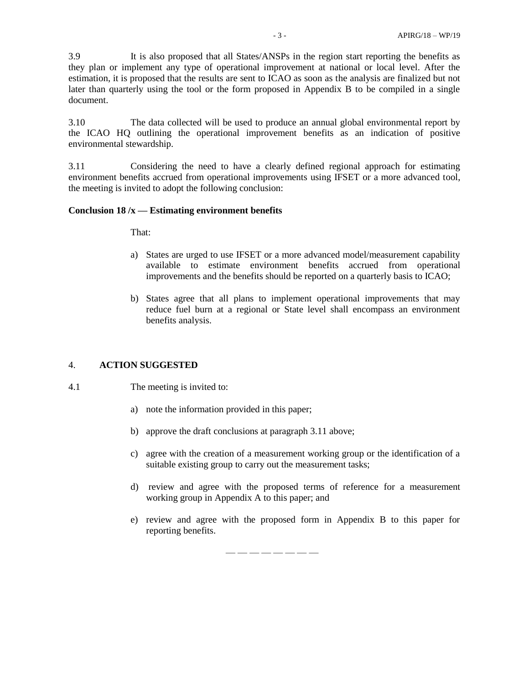3.9 It is also proposed that all States/ANSPs in the region start reporting the benefits as they plan or implement any type of operational improvement at national or local level. After the estimation, it is proposed that the results are sent to ICAO as soon as the analysis are finalized but not later than quarterly using the tool or the form proposed in Appendix B to be compiled in a single document.

3.10 The data collected will be used to produce an annual global environmental report by the ICAO HQ outlining the operational improvement benefits as an indication of positive environmental stewardship.

3.11 Considering the need to have a clearly defined regional approach for estimating environment benefits accrued from operational improvements using IFSET or a more advanced tool, the meeting is invited to adopt the following conclusion:

#### **Conclusion 18 /x — Estimating environment benefits**

That:

- a) States are urged to use IFSET or a more advanced model/measurement capability available to estimate environment benefits accrued from operational improvements and the benefits should be reported on a quarterly basis to ICAO;
- b) States agree that all plans to implement operational improvements that may reduce fuel burn at a regional or State level shall encompass an environment benefits analysis.

#### 4. **ACTION SUGGESTED**

- 4.1 The meeting is invited to:
	- a) note the information provided in this paper;
	- b) approve the draft conclusions at paragraph 3.11 above;
	- c) agree with the creation of a measurement working group or the identification of a suitable existing group to carry out the measurement tasks;
	- d) review and agree with the proposed terms of reference for a measurement working group in Appendix A to this paper; and
	- e) review and agree with the proposed form in Appendix B to this paper for reporting benefits.

— — — — — — — —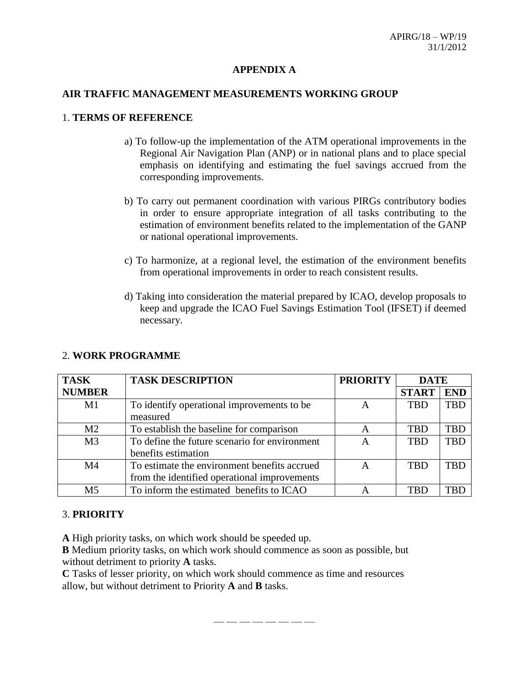## **APPENDIX A**

## **AIR TRAFFIC MANAGEMENT MEASUREMENTS WORKING GROUP**

## 1. **TERMS OF REFERENCE**

- a) To follow-up the implementation of the ATM operational improvements in the Regional Air Navigation Plan (ANP) or in national plans and to place special emphasis on identifying and estimating the fuel savings accrued from the corresponding improvements.
- b) To carry out permanent coordination with various PIRGs contributory bodies in order to ensure appropriate integration of all tasks contributing to the estimation of environment benefits related to the implementation of the GANP or national operational improvements.
- c) To harmonize, at a regional level, the estimation of the environment benefits from operational improvements in order to reach consistent results.
- d) Taking into consideration the material prepared by ICAO, develop proposals to keep and upgrade the ICAO Fuel Savings Estimation Tool (IFSET) if deemed necessary.

| <b>TASK</b>    | <b>TASK DESCRIPTION</b>                       | <b>PRIORITY</b> | <b>DATE</b>  |            |
|----------------|-----------------------------------------------|-----------------|--------------|------------|
| <b>NUMBER</b>  |                                               |                 | <b>START</b> | <b>END</b> |
| M1             | To identify operational improvements to be    | A               | <b>TBD</b>   | <b>TBD</b> |
|                | measured                                      |                 |              |            |
| M <sub>2</sub> | To establish the baseline for comparison      | A               | <b>TBD</b>   | <b>TBD</b> |
| M <sub>3</sub> | To define the future scenario for environment | A               | <b>TBD</b>   | <b>TBD</b> |
|                | benefits estimation                           |                 |              |            |
| M <sub>4</sub> | To estimate the environment benefits accrued  | А               | <b>TBD</b>   | TBD        |
|                | from the identified operational improvements  |                 |              |            |
| M <sub>5</sub> | To inform the estimated benefits to ICAO      |                 | <b>TBD</b>   | TRF        |

# 2. **WORK PROGRAMME**

## 3. **PRIORITY**

**A** High priority tasks, on which work should be speeded up.

**B** Medium priority tasks, on which work should commence as soon as possible, but without detriment to priority **A** tasks.

**C** Tasks of lesser priority, on which work should commence as time and resources allow, but without detriment to Priority **A** and **B** tasks.

— — — — — — — —